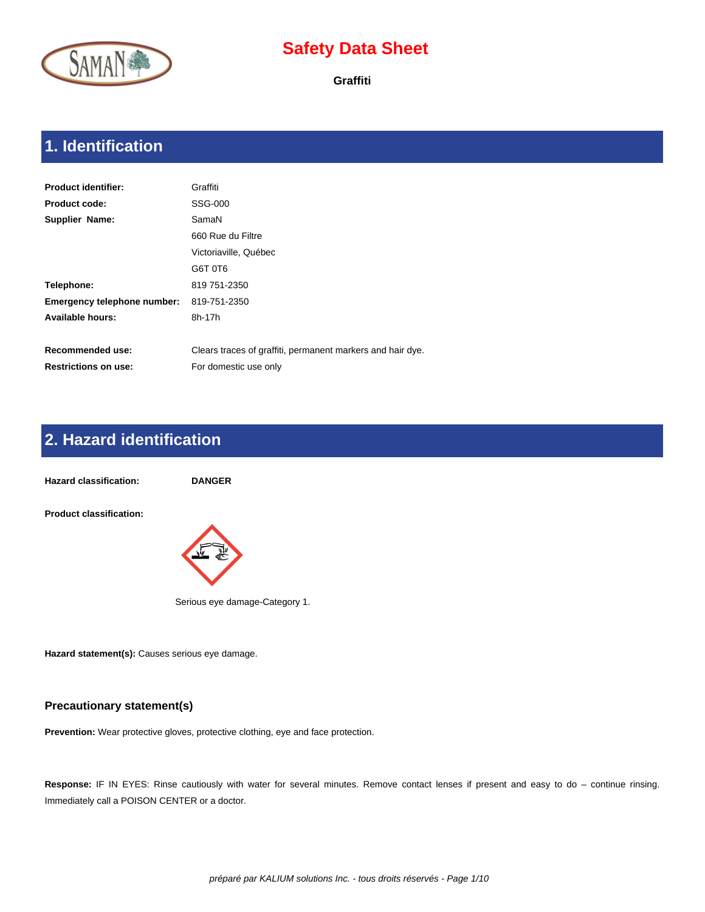

**Graffiti**

# **1. Identification**

| <b>Product identifier:</b>  | Graffiti                                                   |
|-----------------------------|------------------------------------------------------------|
| <b>Product code:</b>        | SSG-000                                                    |
| Supplier Name:              | SamaN                                                      |
|                             | 660 Rue du Filtre                                          |
|                             | Victoriaville, Québec                                      |
|                             | G6T 0T6                                                    |
| Telephone:                  | 819 751-2350                                               |
| Emergency telephone number: | 819-751-2350                                               |
| <b>Available hours:</b>     | 8h-17h                                                     |
|                             |                                                            |
| <b>Recommended use:</b>     | Clears traces of graffiti, permanent markers and hair dye. |
| <b>Restrictions on use:</b> | For domestic use only                                      |

### **2. Hazard identification**

**Hazard classification: DANGER Product classification:**  Serious eye damage-Category 1.

**Hazard statement(s):** Causes serious eye damage.

#### **Precautionary statement(s)**

**Prevention:** Wear protective gloves, protective clothing, eye and face protection.

Response: IF IN EYES: Rinse cautiously with water for several minutes. Remove contact lenses if present and easy to do – continue rinsing. Immediately call a POISON CENTER or a doctor.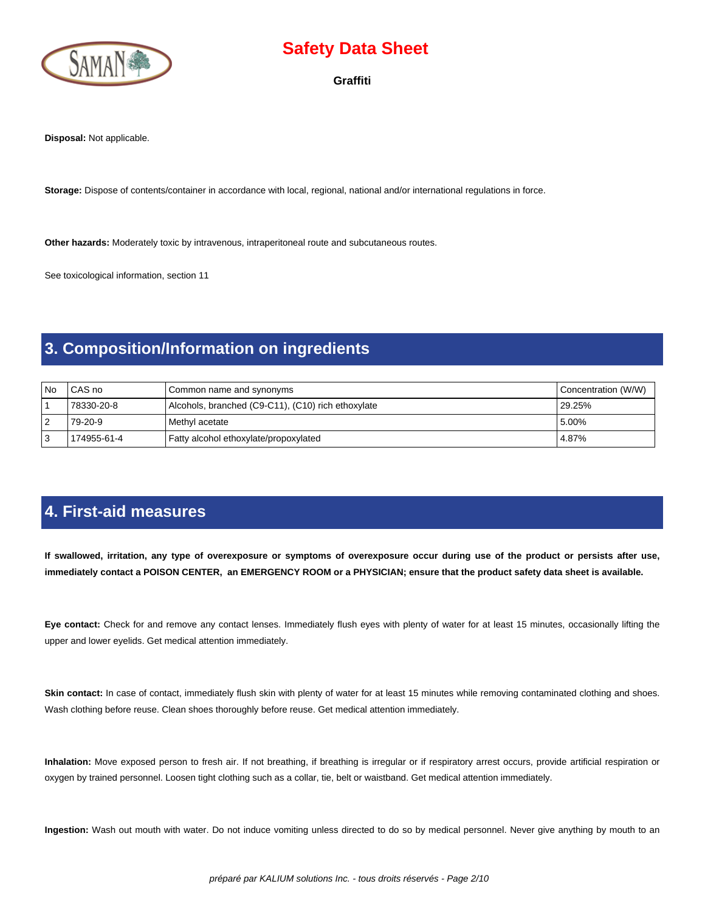

**Graffiti**

**Disposal:** Not applicable.

**Storage:** Dispose of contents/container in accordance with local, regional, national and/or international regulations in force.

**Other hazards:** Moderately toxic by intravenous, intraperitoneal route and subcutaneous routes.

See toxicological information, section 11

#### **3. Composition/Information on ingredients**

| l No | CAS no      | Common name and synonyms                           | Concentration (W/W) |
|------|-------------|----------------------------------------------------|---------------------|
|      | 78330-20-8  | Alcohols, branched (C9-C11), (C10) rich ethoxylate | 29.25%              |
| 2 ا  | 79-20-9     | Methyl acetate                                     | 5.00%               |
| l 3  | 174955-61-4 | Fatty alcohol ethoxylate/propoxylated              | 4.87%               |

#### **4. First-aid measures**

 **If swallowed, irritation, any type of overexposure or symptoms of overexposure occur during use of the product or persists after use, immediately contact a POISON CENTER, an EMERGENCY ROOM or a PHYSICIAN; ensure that the product safety data sheet is available.**

**Eye contact:** Check for and remove any contact lenses. Immediately flush eyes with plenty of water for at least 15 minutes, occasionally lifting the upper and lower eyelids. Get medical attention immediately.

Skin contact: In case of contact, immediately flush skin with plenty of water for at least 15 minutes while removing contaminated clothing and shoes. Wash clothing before reuse. Clean shoes thoroughly before reuse. Get medical attention immediately.

**Inhalation:** Move exposed person to fresh air. If not breathing, if breathing is irregular or if respiratory arrest occurs, provide artificial respiration or oxygen by trained personnel. Loosen tight clothing such as a collar, tie, belt or waistband. Get medical attention immediately.

**Ingestion:** Wash out mouth with water. Do not induce vomiting unless directed to do so by medical personnel. Never give anything by mouth to an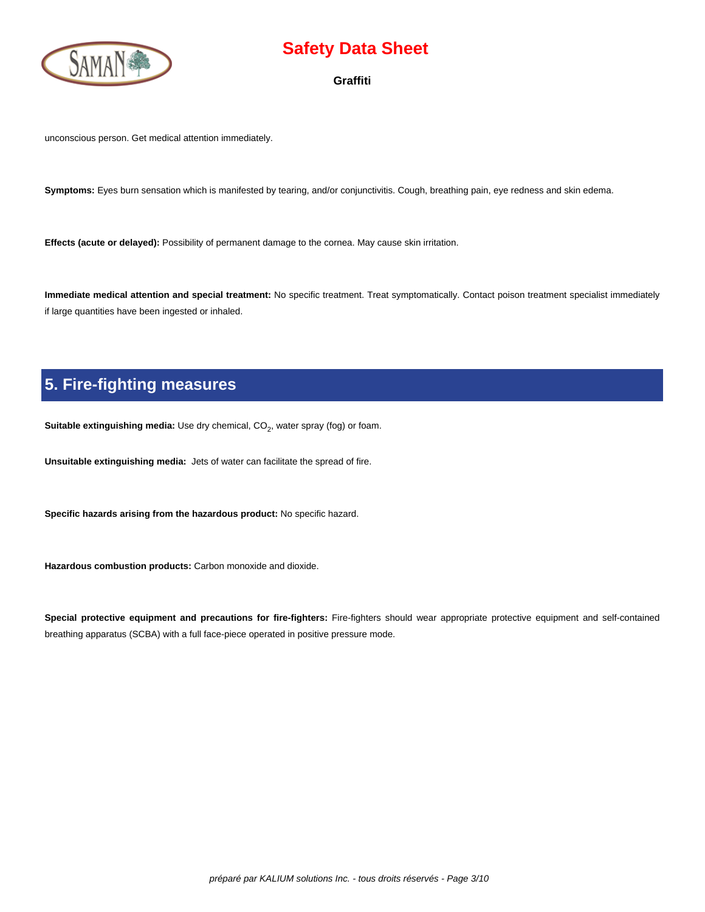

**Graffiti**

unconscious person. Get medical attention immediately.

**Symptoms:** Eyes burn sensation which is manifested by tearing, and/or conjunctivitis. Cough, breathing pain, eye redness and skin edema.

**Effects (acute or delayed):** Possibility of permanent damage to the cornea. May cause skin irritation.

**Immediate medical attention and special treatment:** No specific treatment. Treat symptomatically. Contact poison treatment specialist immediately if large quantities have been ingested or inhaled.

# **5. Fire-fighting measures**

**Suitable extinguishing media:** Use dry chemical, CO<sub>2</sub>, water spray (fog) or foam.

**Unsuitable extinguishing media:** Jets of water can facilitate the spread of fire.

**Specific hazards arising from the hazardous product:** No specific hazard.

**Hazardous combustion products:** Carbon monoxide and dioxide.

**Special protective equipment and precautions for fire-fighters:** Fire-fighters should wear appropriate protective equipment and self-contained breathing apparatus (SCBA) with a full face-piece operated in positive pressure mode.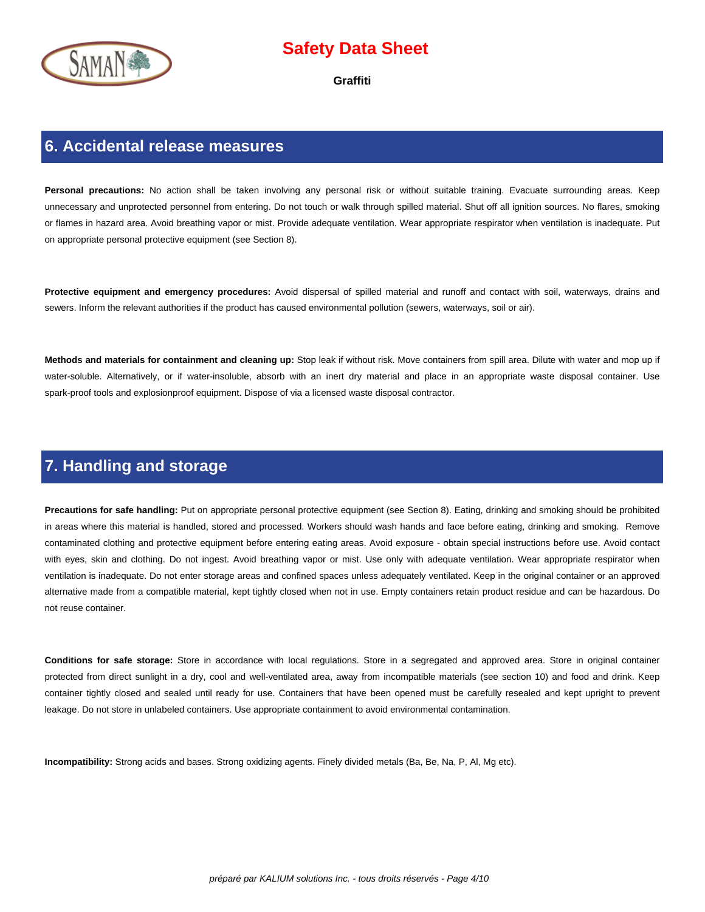

**Graffiti**

#### **6. Accidental release measures**

Personal precautions: No action shall be taken involving any personal risk or without suitable training. Evacuate surrounding areas. Keep unnecessary and unprotected personnel from entering. Do not touch or walk through spilled material. Shut off all ignition sources. No flares, smoking or flames in hazard area. Avoid breathing vapor or mist. Provide adequate ventilation. Wear appropriate respirator when ventilation is inadequate. Put on appropriate personal protective equipment (see Section 8).

**Protective equipment and emergency procedures:** Avoid dispersal of spilled material and runoff and contact with soil, waterways, drains and sewers. Inform the relevant authorities if the product has caused environmental pollution (sewers, waterways, soil or air).

**Methods and materials for containment and cleaning up:** Stop leak if without risk. Move containers from spill area. Dilute with water and mop up if water-soluble. Alternatively, or if water-insoluble, absorb with an inert dry material and place in an appropriate waste disposal container. Use spark-proof tools and explosionproof equipment. Dispose of via a licensed waste disposal contractor.

#### **7. Handling and storage**

**Precautions for safe handling:** Put on appropriate personal protective equipment (see Section 8). Eating, drinking and smoking should be prohibited in areas where this material is handled, stored and processed. Workers should wash hands and face before eating, drinking and smoking. Remove contaminated clothing and protective equipment before entering eating areas. Avoid exposure - obtain special instructions before use. Avoid contact with eyes, skin and clothing. Do not ingest. Avoid breathing vapor or mist. Use only with adequate ventilation. Wear appropriate respirator when ventilation is inadequate. Do not enter storage areas and confined spaces unless adequately ventilated. Keep in the original container or an approved alternative made from a compatible material, kept tightly closed when not in use. Empty containers retain product residue and can be hazardous. Do not reuse container.

**Conditions for safe storage:** Store in accordance with local regulations. Store in a segregated and approved area. Store in original container protected from direct sunlight in a dry, cool and well-ventilated area, away from incompatible materials (see section 10) and food and drink. Keep container tightly closed and sealed until ready for use. Containers that have been opened must be carefully resealed and kept upright to prevent leakage. Do not store in unlabeled containers. Use appropriate containment to avoid environmental contamination.

**Incompatibility:** Strong acids and bases. Strong oxidizing agents. Finely divided metals (Ba, Be, Na, P, Al, Mg etc).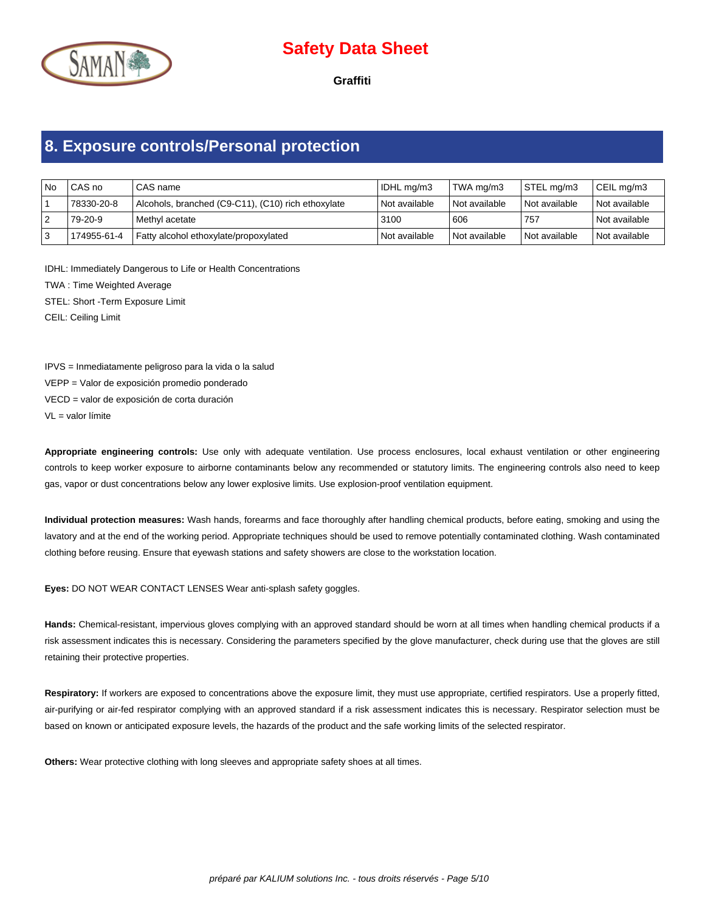

**Graffiti**

# **8. Exposure controls/Personal protection**

| l No | l CAS no    | l CAS name                                         | IDHL mg/m3      | TWA ma/m3       | STEL mg/m3    | CEIL mg/m3      |
|------|-------------|----------------------------------------------------|-----------------|-----------------|---------------|-----------------|
|      | 78330-20-8  | Alcohols, branched (C9-C11), (C10) rich ethoxylate | l Not available | l Not available | Not available | l Not available |
|      | 79-20-9     | Methyl acetate                                     | 3100            | 606             | 757           | l Not available |
|      | 174955-61-4 | Fatty alcohol ethoxylate/propoxylated              | Not available   | Not available   | Not available | l Not available |

IDHL: Immediately Dangerous to Life or Health Concentrations

TWA : Time Weighted Average

STEL: Short -Term Exposure Limit

CEIL: Ceiling Limit

IPVS = Inmediatamente peligroso para la vida o la salud

VEPP = Valor de exposición promedio ponderado

VECD = valor de exposición de corta duración

 $VI =$  valor límite

**Appropriate engineering controls:** Use only with adequate ventilation. Use process enclosures, local exhaust ventilation or other engineering controls to keep worker exposure to airborne contaminants below any recommended or statutory limits. The engineering controls also need to keep gas, vapor or dust concentrations below any lower explosive limits. Use explosion-proof ventilation equipment.

**Individual protection measures:** Wash hands, forearms and face thoroughly after handling chemical products, before eating, smoking and using the lavatory and at the end of the working period. Appropriate techniques should be used to remove potentially contaminated clothing. Wash contaminated clothing before reusing. Ensure that eyewash stations and safety showers are close to the workstation location.

**Eyes:** DO NOT WEAR CONTACT LENSES Wear anti-splash safety goggles.

**Hands:** Chemical-resistant, impervious gloves complying with an approved standard should be worn at all times when handling chemical products if a risk assessment indicates this is necessary. Considering the parameters specified by the glove manufacturer, check during use that the gloves are still retaining their protective properties.

Respiratory: If workers are exposed to concentrations above the exposure limit, they must use appropriate, certified respirators. Use a properly fitted, air-purifying or air-fed respirator complying with an approved standard if a risk assessment indicates this is necessary. Respirator selection must be based on known or anticipated exposure levels, the hazards of the product and the safe working limits of the selected respirator.

**Others:** Wear protective clothing with long sleeves and appropriate safety shoes at all times.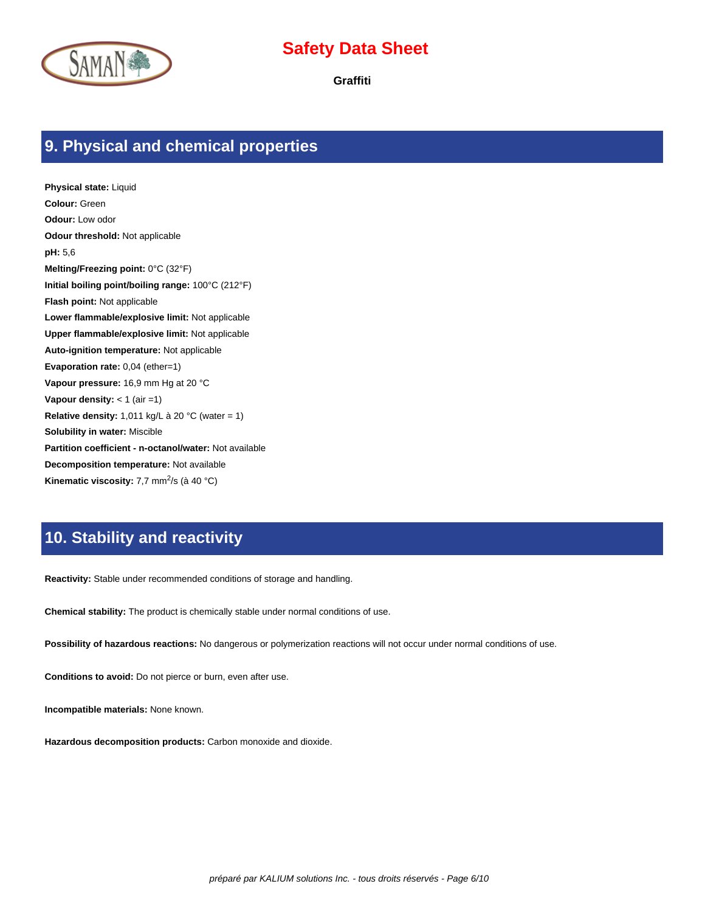

**Graffiti**

#### **9. Physical and chemical properties**

**Physical state:** Liquid **Colour:** Green **Odour:** Low odor **Odour threshold:** Not applicable **pH:** 5,6 **Melting/Freezing point:** 0°C (32°F) **Initial boiling point/boiling range:** 100°C (212°F) **Flash point:** Not applicable **Lower flammable/explosive limit:** Not applicable **Upper flammable/explosive limit:** Not applicable **Auto-ignition temperature:** Not applicable **Evaporation rate:** 0,04 (ether=1) **Vapour pressure:** 16,9 mm Hg at 20 °C **Vapour density:** < 1 (air =1) **Relative density:** 1,011 kg/L à 20 °C (water = 1) **Solubility in water:** Miscible **Partition coefficient - n-octanol/water:** Not available **Decomposition temperature:** Not available Kinematic viscosity: 7,7 mm<sup>2</sup>/s (à 40 °C)

#### **10. Stability and reactivity**

**Reactivity:** Stable under recommended conditions of storage and handling.

**Chemical stability:** The product is chemically stable under normal conditions of use.

**Possibility of hazardous reactions:** No dangerous or polymerization reactions will not occur under normal conditions of use.

**Conditions to avoid:** Do not pierce or burn, even after use.

**Incompatible materials:** None known.

**Hazardous decomposition products:** Carbon monoxide and dioxide.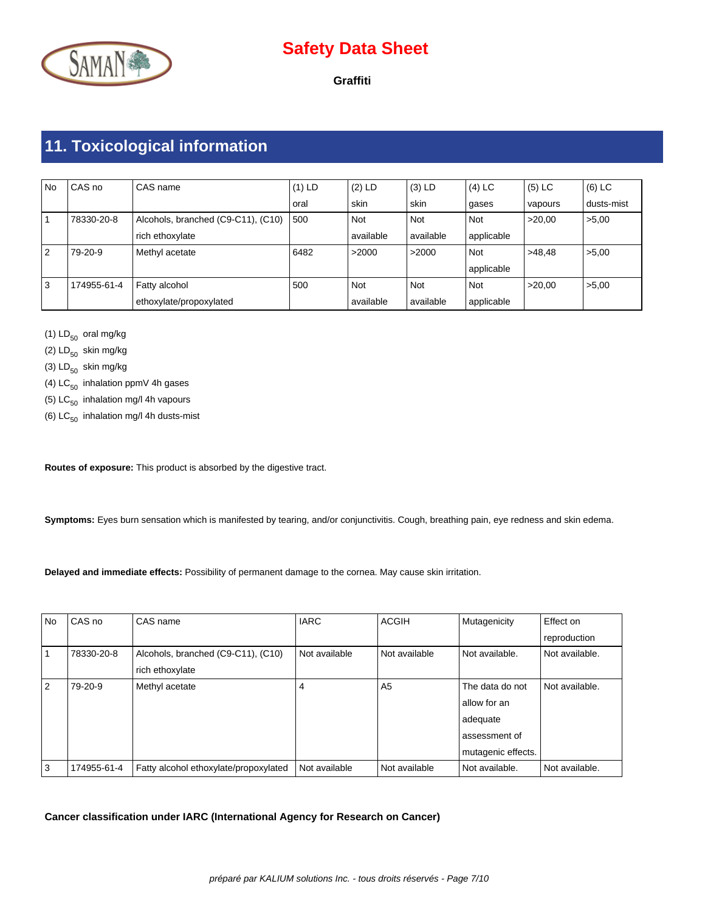

**Graffiti**

# **11. Toxicological information**

| <b>No</b>      | CAS no      | CAS name                           | $(1)$ LD | $(2)$ LD   | $(3)$ LD  | $(4)$ LC   | $(5)$ LC | $(6)$ LC   |
|----------------|-------------|------------------------------------|----------|------------|-----------|------------|----------|------------|
|                |             |                                    | oral     | skin       | skin      | gases      | vapours  | dusts-mist |
|                | 78330-20-8  | Alcohols, branched (C9-C11), (C10) | 1500     | <b>Not</b> | Not       | Not        | >20.00   | >5,00      |
|                |             | rich ethoxylate                    |          | available  | available | applicable |          |            |
| $\overline{2}$ | 79-20-9     | Methyl acetate                     | 6482     | >2000      | >2000     | Not        | >48.48   | >5,00      |
|                |             |                                    |          |            |           | applicable |          |            |
| 3              | 174955-61-4 | Fatty alcohol                      | 500      | <b>Not</b> | Not       | Not        | >20.00   | >5.00      |
|                |             | ethoxylate/propoxylated            |          | available  | available | applicable |          |            |

(1)  $LD_{50}$  oral mg/kg

(2)  $LD_{50}$  skin mg/kg

(3)  $LD_{50}$  skin mg/kg

- (4)  $LC_{50}$  inhalation ppmV 4h gases
- (5)  $LC_{50}$  inhalation mg/l 4h vapours
- (6)  $LC_{50}$  inhalation mg/l 4h dusts-mist

**Routes of exposure:** This product is absorbed by the digestive tract.

**Symptoms:** Eyes burn sensation which is manifested by tearing, and/or conjunctivitis. Cough, breathing pain, eye redness and skin edema.

**Delayed and immediate effects:** Possibility of permanent damage to the cornea. May cause skin irritation.

| <b>No</b> | CAS no      | CAS name                              | <b>IARC</b>   | <b>ACGIH</b>   | Mutagenicity       | Effect on      |
|-----------|-------------|---------------------------------------|---------------|----------------|--------------------|----------------|
|           |             |                                       |               |                |                    | reproduction   |
|           | 78330-20-8  | Alcohols, branched (C9-C11), (C10)    | Not available | Not available  | Not available.     | Not available. |
|           |             | rich ethoxylate                       |               |                |                    |                |
| 2         | 79-20-9     | Methyl acetate                        | 4             | A <sub>5</sub> | The data do not    | Not available. |
|           |             |                                       |               |                | allow for an       |                |
|           |             |                                       |               |                | adequate           |                |
|           |             |                                       |               |                | assessment of      |                |
|           |             |                                       |               |                | mutagenic effects. |                |
| 3         | 174955-61-4 | Fatty alcohol ethoxylate/propoxylated | Not available | Not available  | Not available.     | Not available. |

**Cancer classification under IARC (International Agency for Research on Cancer)**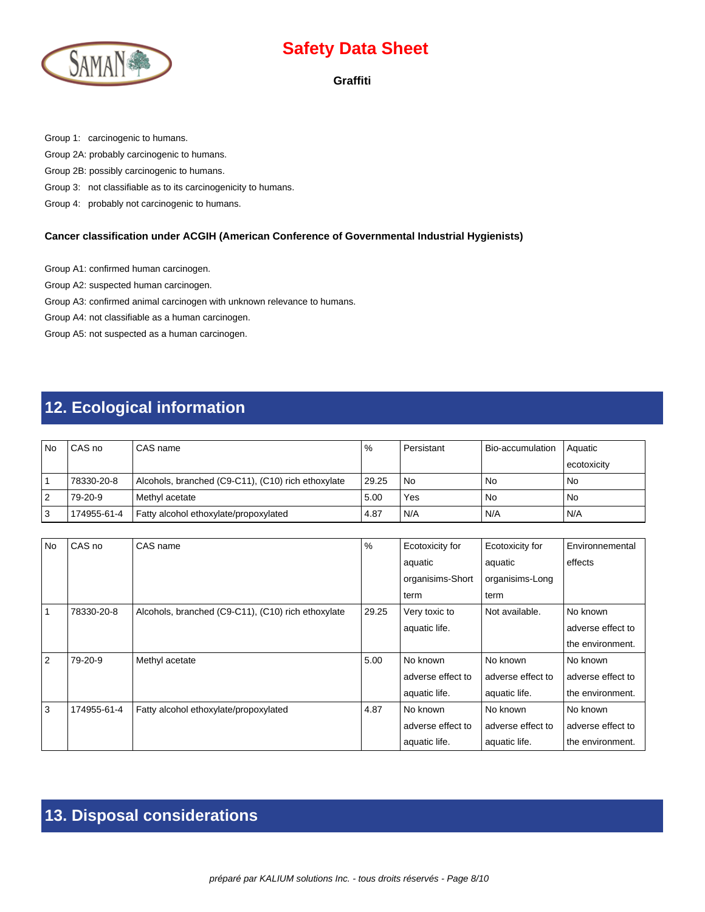

#### **Graffiti**

Group 1: carcinogenic to humans.

Group 2A: probably carcinogenic to humans.

Group 2B: possibly carcinogenic to humans.

Group 3: not classifiable as to its carcinogenicity to humans.

Group 4: probably not carcinogenic to humans.

#### **Cancer classification under ACGIH (American Conference of Governmental Industrial Hygienists)**

Group A1: confirmed human carcinogen.

Group A2: suspected human carcinogen.

Group A3: confirmed animal carcinogen with unknown relevance to humans.

Group A4: not classifiable as a human carcinogen.

Group A5: not suspected as a human carcinogen.

# **12. Ecological information**

| l No | l CAS no    | CAS name                                           | $\frac{9}{6}$ | Persistant | Bio-accumulation | l Aquatic     |
|------|-------------|----------------------------------------------------|---------------|------------|------------------|---------------|
|      |             |                                                    |               |            |                  | l ecotoxicitv |
|      | 78330-20-8  | Alcohols, branched (C9-C11), (C10) rich ethoxylate | 29.25         | l No       | <b>No</b>        | <b>No</b>     |
| 2    | 79-20-9     | Methyl acetate                                     | 5.00          | Yes        | No               | <b>No</b>     |
| 3    | 174955-61-4 | Fatty alcohol ethoxylate/propoxylated              | 4.87          | N/A        | N/A              | N/A           |

| <b>No</b>      | CAS no      | CAS name                                           | $\frac{0}{0}$ | Ecotoxicity for   | Ecotoxicity for   | Environnemental   |
|----------------|-------------|----------------------------------------------------|---------------|-------------------|-------------------|-------------------|
|                |             |                                                    |               | aquatic           | aquatic           | effects           |
|                |             |                                                    |               | organisims-Short  | organisims-Long   |                   |
|                |             |                                                    |               | term              | term              |                   |
|                | 78330-20-8  | Alcohols, branched (C9-C11), (C10) rich ethoxylate | 29.25         | Very toxic to     | Not available.    | No known          |
|                |             |                                                    |               | aquatic life.     |                   | adverse effect to |
|                |             |                                                    |               |                   |                   | the environment.  |
| $\overline{2}$ | 79-20-9     | Methyl acetate                                     | 5.00          | No known          | No known          | No known          |
|                |             |                                                    |               | adverse effect to | adverse effect to | adverse effect to |
|                |             |                                                    |               | aquatic life.     | aquatic life.     | the environment.  |
| 3              | 174955-61-4 | Fatty alcohol ethoxylate/propoxylated              | 4.87          | No known          | No known          | No known          |
|                |             |                                                    |               | adverse effect to | adverse effect to | adverse effect to |
|                |             |                                                    |               | aquatic life.     | aquatic life.     | the environment.  |

### **13. Disposal considerations**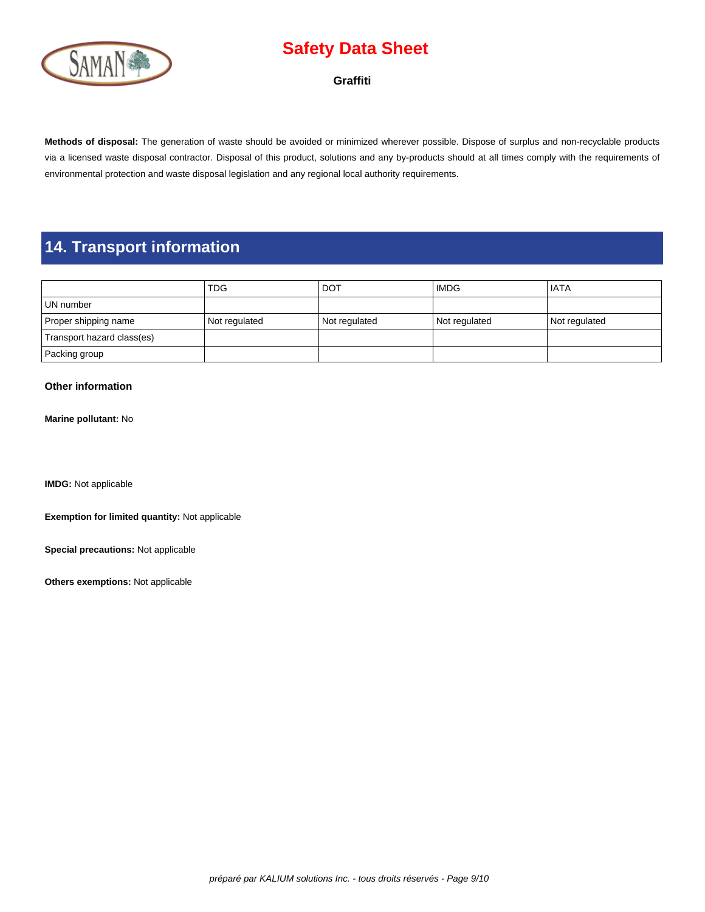

#### **Graffiti**

**Methods of disposal:** The generation of waste should be avoided or minimized wherever possible. Dispose of surplus and non-recyclable products via a licensed waste disposal contractor. Disposal of this product, solutions and any by-products should at all times comply with the requirements of environmental protection and waste disposal legislation and any regional local authority requirements.

### **14. Transport information**

|                            | <b>TDG</b>    | <b>DOT</b>    | <b>IMDG</b>   | l IATA        |
|----------------------------|---------------|---------------|---------------|---------------|
| UN number                  |               |               |               |               |
| Proper shipping name       | Not regulated | Not regulated | Not regulated | Not regulated |
| Transport hazard class(es) |               |               |               |               |
| Packing group              |               |               |               |               |

#### **Other information**

**Marine pollutant:** No

**IMDG:** Not applicable

**Exemption for limited quantity:** Not applicable

**Special precautions:** Not applicable

**Others exemptions:** Not applicable